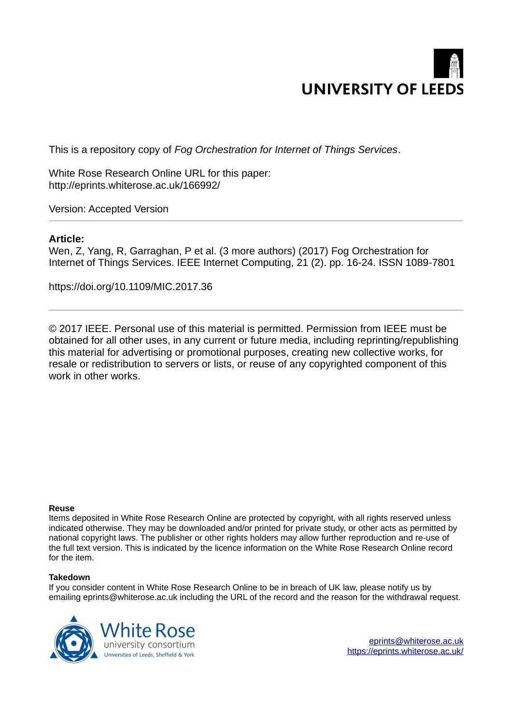

This is a repository copy of *Fog Orchestration for Internet of Things Services*.

White Rose Research Online URL for this paper: http://eprints.whiterose.ac.uk/166992/

Version: Accepted Version

# **Article:**

Wen, Z, Yang, R, Garraghan, P et al. (3 more authors) (2017) Fog Orchestration for Internet of Things Services. IEEE Internet Computing, 21 (2). pp. 16-24. ISSN 1089-7801

https://doi.org/10.1109/MIC.2017.36

© 2017 IEEE. Personal use of this material is permitted. Permission from IEEE must be obtained for all other uses, in any current or future media, including reprinting/republishing this material for advertising or promotional purposes, creating new collective works, for resale or redistribution to servers or lists, or reuse of any copyrighted component of this work in other works.

### **Reuse**

Items deposited in White Rose Research Online are protected by copyright, with all rights reserved unless indicated otherwise. They may be downloaded and/or printed for private study, or other acts as permitted by national copyright laws. The publisher or other rights holders may allow further reproduction and re-use of the full text version. This is indicated by the licence information on the White Rose Research Online record for the item.

### **Takedown**

If you consider content in White Rose Research Online to be in breach of UK law, please notify us by emailing eprints@whiterose.ac.uk including the URL of the record and the reason for the withdrawal request.



[eprints@whiterose.ac.uk](mailto:eprints@whiterose.ac.uk) <https://eprints.whiterose.ac.uk/>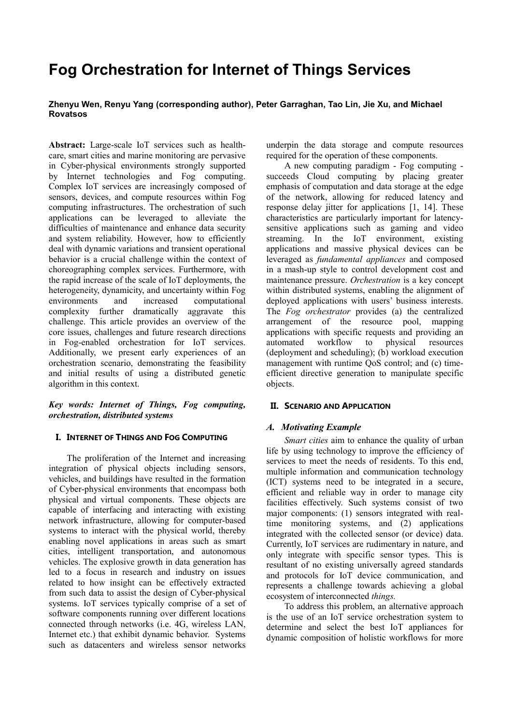# **Fog Orchestration for Internet of Things Services**

## **Zhenyu Wen, Renyu Yang (corresponding author), Peter Garraghan, Tao Lin, Jie Xu, and Michael Rovatsos**

**Abstract:** Large-scale IoT services such as healthcare, smart cities and marine monitoring are pervasive in Cyber-physical environments strongly supported by Internet technologies and Fog computing. Complex IoT services are increasingly composed of sensors, devices, and compute resources within Fog computing infrastructures. The orchestration of such applications can be leveraged to alleviate the difficulties of maintenance and enhance data security and system reliability. However, how to efficiently deal with dynamic variations and transient operational behavior is a crucial challenge within the context of choreographing complex services. Furthermore, with the rapid increase of the scale of IoT deployments, the heterogeneity, dynamicity, and uncertainty within Fog<br>environments and increased computational computational complexity further dramatically aggravate this challenge. This article provides an overview of the core issues, challenges and future research directions in Fog-enabled orchestration for IoT services. Additionally, we present early experiences of an orchestration scenario, demonstrating the feasibility and initial results of using a distributed genetic algorithm in this context.

# *Key words: Internet of Things, Fog computing, orchestration, distributed systems*

### **I. INTERNET OF THINGS AND FOG COMPUTING**

The proliferation of the Internet and increasing integration of physical objects including sensors, vehicles, and buildings have resulted in the formation of Cyber-physical environments that encompass both physical and virtual components. These objects are capable of interfacing and interacting with existing network infrastructure, allowing for computer-based systems to interact with the physical world, thereby enabling novel applications in areas such as smart cities, intelligent transportation, and autonomous vehicles. The explosive growth in data generation has led to a focus in research and industry on issues related to how insight can be effectively extracted from such data to assist the design of Cyber-physical systems. IoT services typically comprise of a set of software components running over different locations connected through networks (i.e. 4G, wireless LAN, Internet etc.) that exhibit dynamic behavior. Systems such as datacenters and wireless sensor networks underpin the data storage and compute resources required for the operation of these components.

A new computing paradigm - Fog computing succeeds Cloud computing by placing greater emphasis of computation and data storage at the edge of the network, allowing for reduced latency and response delay jitter for applications [1, 14]. These characteristics are particularly important for latencysensitive applications such as gaming and video streaming. In the IoT environment, existing applications and massive physical devices can be leveraged as *fundamental appliances* and composed in a mash-up style to control development cost and maintenance pressure. *Orchestration* is a key concept within distributed systems, enabling the alignment of deployed applications with users' business interests. The *Fog orchestrator* provides (a) the centralized arrangement of the resource pool, mapping applications with specific requests and providing an automated workflow to physical resources (deployment and scheduling); (b) workload execution management with runtime QoS control; and (c) timeefficient directive generation to manipulate specific objects.

# **II. SCENARIO AND APPLICATION**

# *A. Motivating Example*

*Smart cities* aim to enhance the quality of urban life by using technology to improve the efficiency of services to meet the needs of residents. To this end, multiple information and communication technology (ICT) systems need to be integrated in a secure, efficient and reliable way in order to manage city facilities effectively. Such systems consist of two major components: (1) sensors integrated with realtime monitoring systems, and (2) applications integrated with the collected sensor (or device) data. Currently, IoT services are rudimentary in nature, and only integrate with specific sensor types. This is resultant of no existing universally agreed standards and protocols for IoT device communication, and represents a challenge towards achieving a global ecosystem of interconnected *things.*

To address this problem, an alternative approach is the use of an IoT service orchestration system to determine and select the best IoT appliances for dynamic composition of holistic workflows for more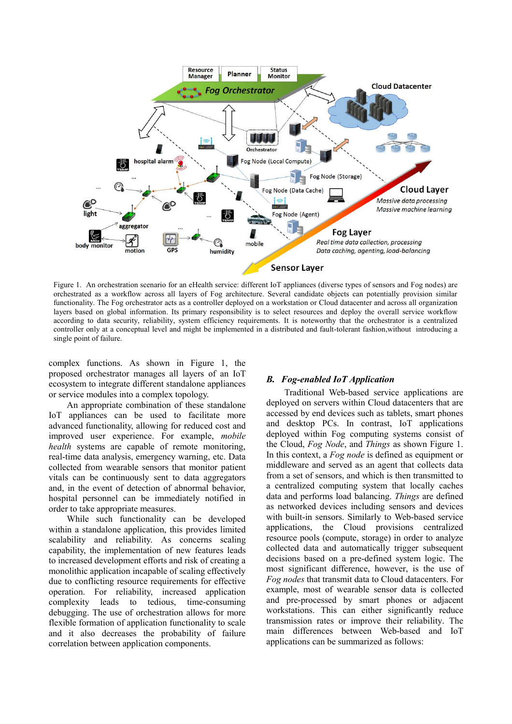

Figure 1. An orchestration scenario for an eHealth service: different IoT appliances (diverse types of sensors and Fog nodes) are orchestrated as a workflow across all layers of Fog architecture. Several candidate objects can potentially provision similar functionality. The Fog orchestrator acts as a controller deployed on a workstation or Cloud datacenter and across all organization layers based on global information. Its primary responsibility is to select resources and deploy the overall service workflow according to data security, reliability, system efficiency requirements. It is noteworthy that the orchestrator is a centralized controller only at a conceptual level and might be implemented in a distributed and fault-tolerant fashion,without introducing a single point of failure.

complex functions. As shown in Figure 1, the proposed orchestrator manages all layers of an IoT ecosystem to integrate different standalone appliances or service modules into a complex topology.

An appropriate combination of these standalone IoT appliances can be used to facilitate more advanced functionality, allowing for reduced cost and improved user experience. For example, *mobile health* systems are capable of remote monitoring, real-time data analysis, emergency warning, etc. Data collected from wearable sensors that monitor patient vitals can be continuously sent to data aggregators and, in the event of detection of abnormal behavior, hospital personnel can be immediately notified in order to take appropriate measures.

While such functionality can be developed within a standalone application, this provides limited scalability and reliability. As concerns scaling capability, the implementation of new features leads to increased development efforts and risk of creating a monolithic application incapable of scaling effectively due to conflicting resource requirements for effective operation. For reliability, increased application complexity leads to tedious, time-consuming debugging. The use of orchestration allows for more flexible formation of application functionality to scale and it also decreases the probability of failure correlation between application components.

#### *B. Fog-enabled IoT Application*

Traditional Web-based service applications are deployed on servers within Cloud datacenters that are accessed by end devices such as tablets, smart phones and desktop PCs. In contrast, IoT applications deployed within Fog computing systems consist of the Cloud, *Fog Node*, and *Things* as shown Figure 1. In this context, a *Fog node* is defined as equipment or middleware and served as an agent that collects data from a set of sensors, and which is then transmitted to a centralized computing system that locally caches data and performs load balancing. *Things* are defined as networked devices including sensors and devices with built-in sensors. Similarly to Web-based service applications, the Cloud provisions centralized resource pools (compute, storage) in order to analyze collected data and automatically trigger subsequent decisions based on a pre-defined system logic. The most significant difference, however, is the use of *Fog nodes* that transmit data to Cloud datacenters. For example, most of wearable sensor data is collected and pre-processed by smart phones or adjacent workstations. This can either significantly reduce transmission rates or improve their reliability. The main differences between Web-based and IoT applications can be summarized as follows: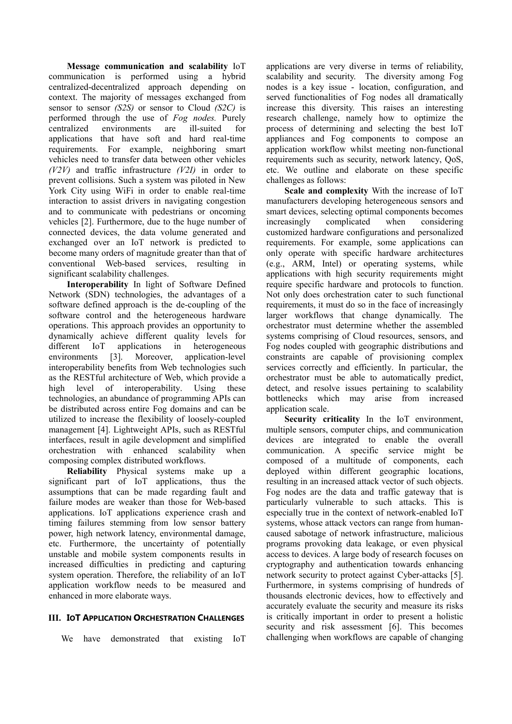**Message communication and scalability** IoT communication is performed using a hybrid centralized-decentralized approach depending on context. The majority of messages exchanged from sensor to sensor *(S2S)* or sensor to Cloud *(S2C)* is performed through the use of *Fog nodes.* Purely environments applications that have soft and hard real-time requirements. For example, neighboring smart vehicles need to transfer data between other vehicles *(V2V)* and traffic infrastructure *(V2I)* in order to prevent collisions. Such a system was piloted in New York City using WiFi in order to enable real-time interaction to assist drivers in navigating congestion and to communicate with pedestrians or oncoming vehicles [2]. Furthermore, due to the huge number of connected devices, the data volume generated and exchanged over an IoT network is predicted to become many orders of magnitude greater than that of conventional Web-based services, resulting in significant scalability challenges.

**Interoperability** In light of Software Defined Network (SDN) technologies, the advantages of a software defined approach is the de-coupling of the software control and the heterogeneous hardware operations. This approach provides an opportunity to dynamically achieve different quality levels for different IoT applications in heterogeneous environments [3]. Moreover, application-level interoperability benefits from Web technologies such as the RESTful architecture of Web, which provide a high level of interoperability. Using these technologies, an abundance of programming APIs can be distributed across entire Fog domains and can be utilized to increase the flexibility of loosely-coupled management [4]. Lightweight APIs, such as RESTful interfaces, result in agile development and simplified orchestration with enhanced scalability when composing complex distributed workflows.

**Reliability** Physical systems make up a significant part of IoT applications, thus the assumptions that can be made regarding fault and failure modes are weaker than those for Web-based applications. IoT applications experience crash and timing failures stemming from low sensor battery power, high network latency, environmental damage, etc. Furthermore, the uncertainty of potentially unstable and mobile system components results in increased difficulties in predicting and capturing system operation. Therefore, the reliability of an IoT application workflow needs to be measured and enhanced in more elaborate ways.

# **III. IOT APPLICATION ORCHESTRATION CHALLENGES**

We have demonstrated that existing IoT

applications are very diverse in terms of reliability, scalability and security. The diversity among Fog nodes is a key issue - location, configuration, and served functionalities of Fog nodes all dramatically increase this diversity. This raises an interesting research challenge, namely how to optimize the process of determining and selecting the best IoT appliances and Fog components to compose an application workflow whilst meeting non-functional requirements such as security, network latency, QoS, etc. We outline and elaborate on these specific challenges as follows:

**Scale and complexity** With the increase of IoT manufacturers developing heterogeneous sensors and smart devices, selecting optimal components becomes increasingly complicated when considering customized hardware configurations and personalized requirements. For example, some applications can only operate with specific hardware architectures (e.g., ARM, Intel) or operating systems, while applications with high security requirements might require specific hardware and protocols to function. Not only does orchestration cater to such functional requirements, it must do so in the face of increasingly larger workflows that change dynamically. The orchestrator must determine whether the assembled systems comprising of Cloud resources, sensors, and Fog nodes coupled with geographic distributions and constraints are capable of provisioning complex services correctly and efficiently. In particular, the orchestrator must be able to automatically predict, detect, and resolve issues pertaining to scalability bottlenecks which may arise from increased application scale.

**Security criticality** In the IoT environment, multiple sensors, computer chips, and communication devices are integrated to enable the overall communication. A specific service might be composed of a multitude of components, each deployed within different geographic locations, resulting in an increased attack vector of such objects. Fog nodes are the data and traffic gateway that is particularly vulnerable to such attacks. This is especially true in the context of network-enabled IoT systems, whose attack vectors can range from humancaused sabotage of network infrastructure, malicious programs provoking data leakage, or even physical access to devices. A large body of research focuses on cryptography and authentication towards enhancing network security to protect against Cyber-attacks [5]. Furthermore, in systems comprising of hundreds of thousands electronic devices, how to effectively and accurately evaluate the security and measure its risks is critically important in order to present a holistic security and risk assessment [6]. This becomes challenging when workflows are capable of changing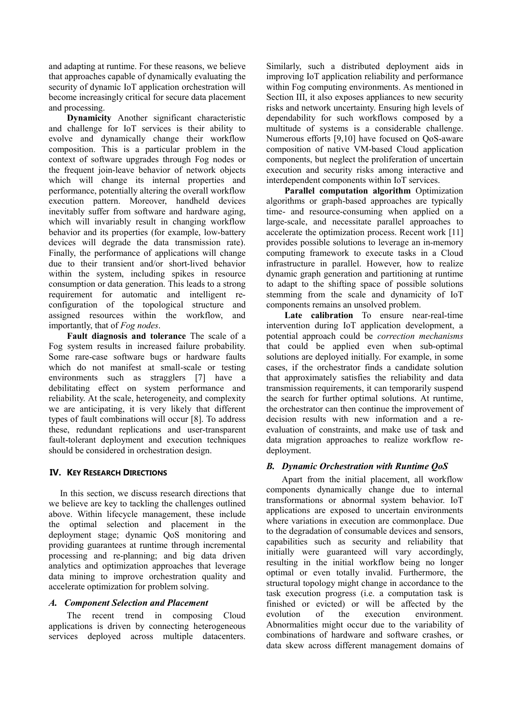and adapting at runtime. For these reasons, we believe that approaches capable of dynamically evaluating the security of dynamic IoT application orchestration will become increasingly critical for secure data placement and processing.

**Dynamicity** Another significant characteristic and challenge for IoT services is their ability to evolve and dynamically change their workflow composition. This is a particular problem in the context of software upgrades through Fog nodes or the frequent join-leave behavior of network objects which will change its internal properties and performance, potentially altering the overall workflow execution pattern. Moreover, handheld devices inevitably suffer from software and hardware aging, which will invariably result in changing workflow behavior and its properties (for example, low-battery devices will degrade the data transmission rate). Finally, the performance of applications will change due to their transient and/or short-lived behavior within the system, including spikes in resource consumption or data generation. This leads to a strong requirement for automatic and intelligent reconfiguration of the topological structure and assigned resources within the workflow, and importantly, that of *Fog nodes*.

**Fault diagnosis and tolerance** The scale of a Fog system results in increased failure probability. Some rare-case software bugs or hardware faults which do not manifest at small-scale or testing environments such as stragglers [7] have a debilitating effect on system performance and reliability. At the scale, heterogeneity, and complexity we are anticipating, it is very likely that different types of fault combinations will occur [8]. To address these, redundant replications and user-transparent fault-tolerant deployment and execution techniques should be considered in orchestration design.

# **IV. KEY RESEARCH DIRECTIONS**

 In this section, we discuss research directions that we believe are key to tackling the challenges outlined above. Within lifecycle management, these include the optimal selection and placement in the deployment stage; dynamic QoS monitoring and providing guarantees at runtime through incremental processing and re-planning; and big data driven analytics and optimization approaches that leverage data mining to improve orchestration quality and accelerate optimization for problem solving.

# *A. Component Selection and Placement*

The recent trend in composing Cloud applications is driven by connecting heterogeneous services deployed across multiple datacenters.

Similarly, such a distributed deployment aids in improving IoT application reliability and performance within Fog computing environments. As mentioned in Section III, it also exposes appliances to new security risks and network uncertainty. Ensuring high levels of dependability for such workflows composed by a multitude of systems is a considerable challenge. Numerous efforts [9,10] have focused on QoS-aware composition of native VM-based Cloud application components, but neglect the proliferation of uncertain execution and security risks among interactive and interdependent components within IoT services.

**Parallel computation algorithm** Optimization algorithms or graph-based approaches are typically time- and resource-consuming when applied on a large-scale, and necessitate parallel approaches to accelerate the optimization process. Recent work [11] provides possible solutions to leverage an in-memory computing framework to execute tasks in a Cloud infrastructure in parallel. However, how to realize dynamic graph generation and partitioning at runtime to adapt to the shifting space of possible solutions stemming from the scale and dynamicity of IoT components remains an unsolved problem.

**Late calibration** To ensure near-real-time intervention during IoT application development, a potential approach could be *correction mechanisms* that could be applied even when sub-optimal solutions are deployed initially. For example, in some cases, if the orchestrator finds a candidate solution that approximately satisfies the reliability and data transmission requirements, it can temporarily suspend the search for further optimal solutions. At runtime, the orchestrator can then continue the improvement of decision results with new information and a reevaluation of constraints, and make use of task and data migration approaches to realize workflow redeployment.

# *B. Dynamic Orchestration with Runtime QoS*

Apart from the initial placement, all workflow components dynamically change due to internal transformations or abnormal system behavior. IoT applications are exposed to uncertain environments where variations in execution are commonplace. Due to the degradation of consumable devices and sensors, capabilities such as security and reliability that initially were guaranteed will vary accordingly, resulting in the initial workflow being no longer optimal or even totally invalid. Furthermore, the structural topology might change in accordance to the task execution progress (i.e. a computation task is finished or evicted) or will be affected by the evolution of the execution environment. Abnormalities might occur due to the variability of combinations of hardware and software crashes, or data skew across different management domains of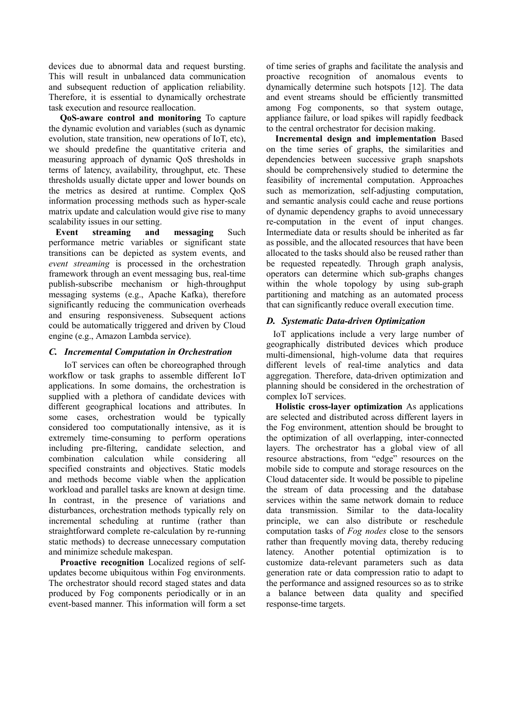devices due to abnormal data and request bursting. This will result in unbalanced data communication and subsequent reduction of application reliability. Therefore, it is essential to dynamically orchestrate task execution and resource reallocation.

 **QoS-aware control and monitoring** To capture the dynamic evolution and variables (such as dynamic evolution, state transition, new operations of IoT, etc), we should predefine the quantitative criteria and measuring approach of dynamic QoS thresholds in terms of latency, availability, throughput, etc. These thresholds usually dictate upper and lower bounds on the metrics as desired at runtime. Complex QoS information processing methods such as hyper-scale matrix update and calculation would give rise to many scalability issues in our setting.

**Event** streaming and messaging Such performance metric variables or significant state transitions can be depicted as system events, and *event streaming* is processed in the orchestration framework through an event messaging bus, real-time publish-subscribe mechanism or high-throughput messaging systems (e.g., Apache Kafka), therefore significantly reducing the communication overheads and ensuring responsiveness. Subsequent actions could be automatically triggered and driven by Cloud engine (e.g., Amazon Lambda service).

## *C. Incremental Computation in Orchestration*

IoT services can often be choreographed through workflow or task graphs to assemble different IoT applications. In some domains, the orchestration is supplied with a plethora of candidate devices with different geographical locations and attributes. In some cases, orchestration would be typically considered too computationally intensive, as it is extremely time-consuming to perform operations including pre-filtering, candidate selection, and combination calculation while considering all specified constraints and objectives. Static models and methods become viable when the application workload and parallel tasks are known at design time. In contrast, in the presence of variations and disturbances, orchestration methods typically rely on incremental scheduling at runtime (rather than straightforward complete re-calculation by re-running static methods) to decrease unnecessary computation and minimize schedule makespan.

 **Proactive recognition** Localized regions of selfupdates become ubiquitous within Fog environments. The orchestrator should record staged states and data produced by Fog components periodically or in an event-based manner. This information will form a set

of time series of graphs and facilitate the analysis and proactive recognition of anomalous events to dynamically determine such hotspots [12]. The data and event streams should be efficiently transmitted among Fog components, so that system outage, appliance failure, or load spikes will rapidly feedback to the central orchestrator for decision making.

 **Incremental design and implementation** Based on the time series of graphs, the similarities and dependencies between successive graph snapshots should be comprehensively studied to determine the feasibility of incremental computation. Approaches such as memorization, self-adjusting computation, and semantic analysis could cache and reuse portions of dynamic dependency graphs to avoid unnecessary re-computation in the event of input changes. Intermediate data or results should be inherited as far as possible, and the allocated resources that have been allocated to the tasks should also be reused rather than be requested repeatedly. Through graph analysis, operators can determine which sub-graphs changes within the whole topology by using sub-graph partitioning and matching as an automated process that can significantly reduce overall execution time.

### *D. Systematic Data-driven Optimization*

 IoT applications include a very large number of geographically distributed devices which produce multi-dimensional, high-volume data that requires different levels of real-time analytics and data aggregation. Therefore, data-driven optimization and planning should be considered in the orchestration of complex IoT services.

 **Holistic cross-layer optimization** As applications are selected and distributed across different layers in the Fog environment, attention should be brought to the optimization of all overlapping, inter-connected layers. The orchestrator has a global view of all resource abstractions, from "edge" resources on the mobile side to compute and storage resources on the Cloud datacenter side. It would be possible to pipeline the stream of data processing and the database services within the same network domain to reduce data transmission. Similar to the data-locality principle, we can also distribute or reschedule computation tasks of *Fog nodes* close to the sensors rather than frequently moving data, thereby reducing latency. Another potential optimization is to customize data-relevant parameters such as data generation rate or data compression ratio to adapt to the performance and assigned resources so as to strike a balance between data quality and specified response-time targets.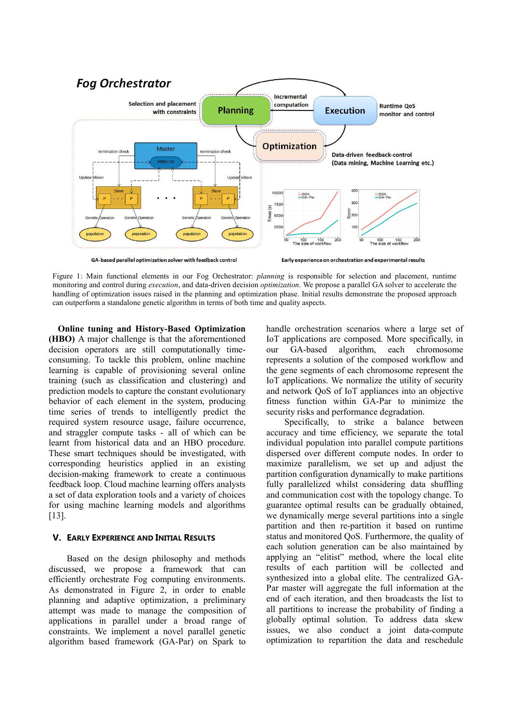

Figure 1: Main functional elements in our Fog Orchestrator: *planning* is responsible for selection and placement, runtime monitoring and control during *execution*, and data-driven decision *optimization*. We propose a parallel GA solver to accelerate the handling of optimization issues raised in the planning and optimization phase. Initial results demonstrate the proposed approach can outperform a standalone genetic algorithm in terms of both time and quality aspects.

 **Online tuning and History-Based Optimization (HBO)** A major challenge is that the aforementioned decision operators are still computationally timeconsuming. To tackle this problem, online machine learning is capable of provisioning several online training (such as classification and clustering) and prediction models to capture the constant evolutionary behavior of each element in the system, producing time series of trends to intelligently predict the required system resource usage, failure occurrence, and straggler compute tasks - all of which can be learnt from historical data and an HBO procedure. These smart techniques should be investigated, with corresponding heuristics applied in an existing decision-making framework to create a continuous feedback loop. Cloud machine learning offers analysts a set of data exploration tools and a variety of choices for using machine learning models and algorithms [13].

## **V. EARLY EXPERIENCE AND INITIAL RESULTS**

Based on the design philosophy and methods discussed, we propose a framework that can efficiently orchestrate Fog computing environments. As demonstrated in Figure 2, in order to enable planning and adaptive optimization, a preliminary attempt was made to manage the composition of applications in parallel under a broad range of constraints. We implement a novel parallel genetic algorithm based framework (GA-Par) on Spark to handle orchestration scenarios where a large set of IoT applications are composed. More specifically, in our GA-based algorithm, each chromosome represents a solution of the composed workflow and the gene segments of each chromosome represent the IoT applications. We normalize the utility of security and network QoS of IoT appliances into an objective fitness function within GA-Par to minimize the security risks and performance degradation.

Specifically, to strike a balance between accuracy and time efficiency, we separate the total individual population into parallel compute partitions dispersed over different compute nodes. In order to maximize parallelism, we set up and adjust the partition configuration dynamically to make partitions fully parallelized whilst considering data shuffling and communication cost with the topology change. To guarantee optimal results can be gradually obtained, we dynamically merge several partitions into a single partition and then re-partition it based on runtime status and monitored QoS. Furthermore, the quality of each solution generation can be also maintained by applying an "elitist" method, where the local elite results of each partition will be collected and synthesized into a global elite. The centralized GA-Par master will aggregate the full information at the end of each iteration, and then broadcasts the list to all partitions to increase the probability of finding a globally optimal solution. To address data skew issues, we also conduct a joint data-compute optimization to repartition the data and reschedule